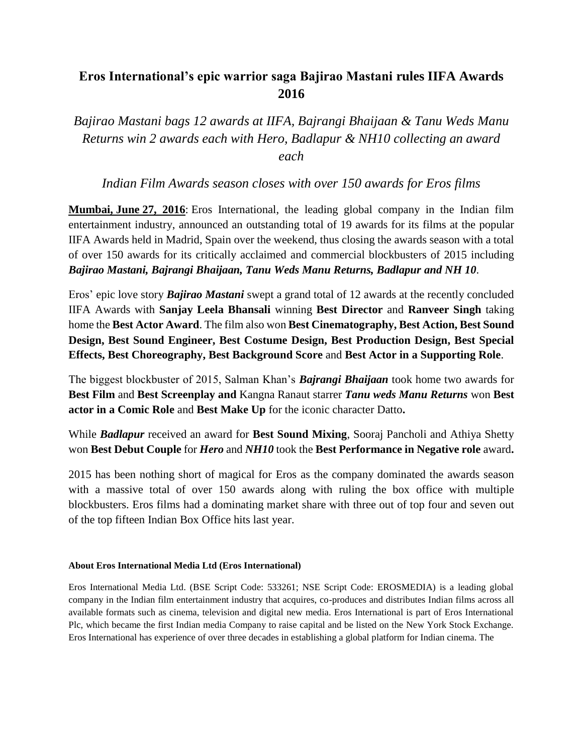## **Eros International's epic warrior saga Bajirao Mastani rules IIFA Awards 2016**

*Bajirao Mastani bags 12 awards at IIFA, Bajrangi Bhaijaan & Tanu Weds Manu Returns win 2 awards each with Hero, Badlapur & NH10 collecting an award each* 

## *Indian Film Awards season closes with over 150 awards for Eros films*

**Mumbai, June 27, 2016**: Eros International, the leading global company in the Indian film entertainment industry, announced an outstanding total of 19 awards for its films at the popular IIFA Awards held in Madrid, Spain over the weekend, thus closing the awards season with a total of over 150 awards for its critically acclaimed and commercial blockbusters of 2015 including *Bajirao Mastani, Bajrangi Bhaijaan, Tanu Weds Manu Returns, Badlapur and NH 10*.

Eros' epic love story *Bajirao Mastani* swept a grand total of 12 awards at the recently concluded IIFA Awards with **Sanjay Leela Bhansali** winning **Best Director** and **Ranveer Singh** taking home the **Best Actor Award**. The film also won **Best Cinematography, Best Action, Best Sound Design, Best Sound Engineer, Best Costume Design, Best Production Design, Best Special Effects, Best Choreography, Best Background Score** and **Best Actor in a Supporting Role**.

The biggest blockbuster of 2015, Salman Khan's *Bajrangi Bhaijaan* took home two awards for **Best Film** and **Best Screenplay and** Kangna Ranaut starrer *Tanu weds Manu Returns* won **Best actor in a Comic Role** and **Best Make Up** for the iconic character Datto**.** 

While *Badlapur* received an award for **Best Sound Mixing**, Sooraj Pancholi and Athiya Shetty won **Best Debut Couple** for *Hero* and *NH10* took the **Best Performance in Negative role** award**.**

2015 has been nothing short of magical for Eros as the company dominated the awards season with a massive total of over 150 awards along with ruling the box office with multiple blockbusters. Eros films had a dominating market share with three out of top four and seven out of the top fifteen Indian Box Office hits last year.

## **About Eros International Media Ltd (Eros International)**

Eros International Media Ltd. (BSE Script Code: 533261; NSE Script Code: EROSMEDIA) is a leading global company in the Indian film entertainment industry that acquires, co-produces and distributes Indian films across all available formats such as cinema, television and digital new media. Eros International is part of Eros International Plc, which became the first Indian media Company to raise capital and be listed on the New York Stock Exchange. Eros International has experience of over three decades in establishing a global platform for Indian cinema. The